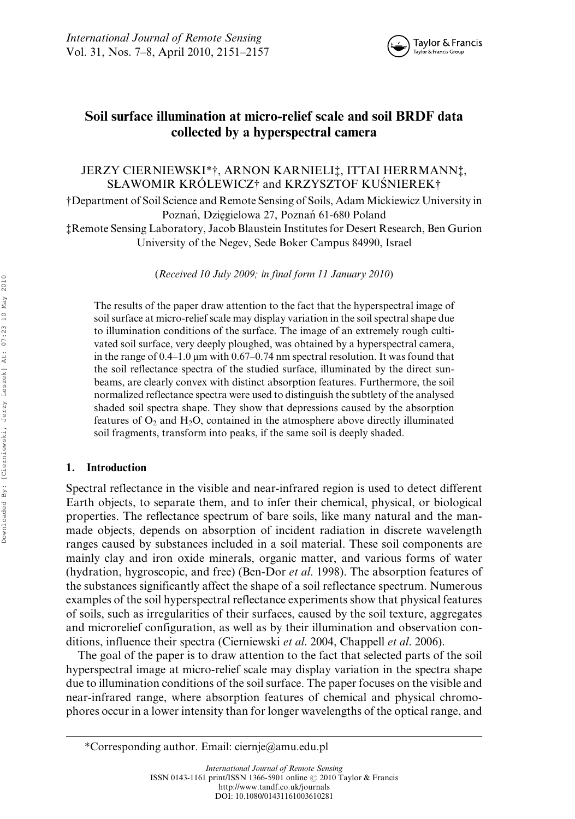

# Soil surface illumination at micro-relief scale and soil BRDF data collected by a hyperspectral camera

## JERZY CIERNIEWSKI\*†, ARNON KARNIELI‡, ITTAI HERRMANN‡, SŁAWOMIR KRÓLEWICZ† and KRZYSZTOF KUSNIEREK†

†Department of Soil Science and Remote Sensing of Soils, Adam Mickiewicz University in Poznań, Dziegielowa 27, Poznań 61-680 Poland ‡Remote Sensing Laboratory, Jacob Blaustein Institutes for Desert Research, Ben Gurion

University of the Negev, Sede Boker Campus 84990, Israel

(Received 10 July 2009; in final form 11 January 2010)

The results of the paper draw attention to the fact that the hyperspectral image of soil surface at micro-relief scale may display variation in the soil spectral shape due to illumination conditions of the surface. The image of an extremely rough cultivated soil surface, very deeply ploughed, was obtained by a hyperspectral camera, in the range of  $0.4-1.0 \mu m$  with  $0.67-0.74 \mu m$  spectral resolution. It was found that the soil reflectance spectra of the studied surface, illuminated by the direct sunbeams, are clearly convex with distinct absorption features. Furthermore, the soil normalized reflectance spectra were used to distinguish the subtlety of the analysed shaded soil spectra shape. They show that depressions caused by the absorption features of  $O_2$  and  $H_2O$ , contained in the atmosphere above directly illuminated soil fragments, transform into peaks, if the same soil is deeply shaded.

## 1. Introduction

Spectral reflectance in the visible and near-infrared region is used to detect different Earth objects, to separate them, and to infer their chemical, physical, or biological properties. The reflectance spectrum of bare soils, like many natural and the manmade objects, depends on absorption of incident radiation in discrete wavelength ranges caused by substances included in a soil material. These soil components are mainly clay and iron oxide minerals, organic matter, and various forms of water (hydration, hygroscopic, and free) (Ben-Dor et al. 1998). The absorption features of the substances significantly affect the shape of a soil reflectance spectrum. Numerous examples of the soil hyperspectral reflectance experiments show that physical features of soils, such as irregularities of their surfaces, caused by the soil texture, aggregates and microrelief configuration, as well as by their illumination and observation conditions, influence their spectra (Cierniewski *et al.* 2004, Chappell *et al.* 2006).

The goal of the paper is to draw attention to the fact that selected parts of the soil hyperspectral image at micro-relief scale may display variation in the spectra shape due to illumination conditions of the soil surface. The paper focuses on the visible and near-infrared range, where absorption features of chemical and physical chromophores occur in a lower intensity than for longer wavelengths of the optical range, and

<sup>\*</sup>Corresponding author. Email: ciernje@amu.edu.pl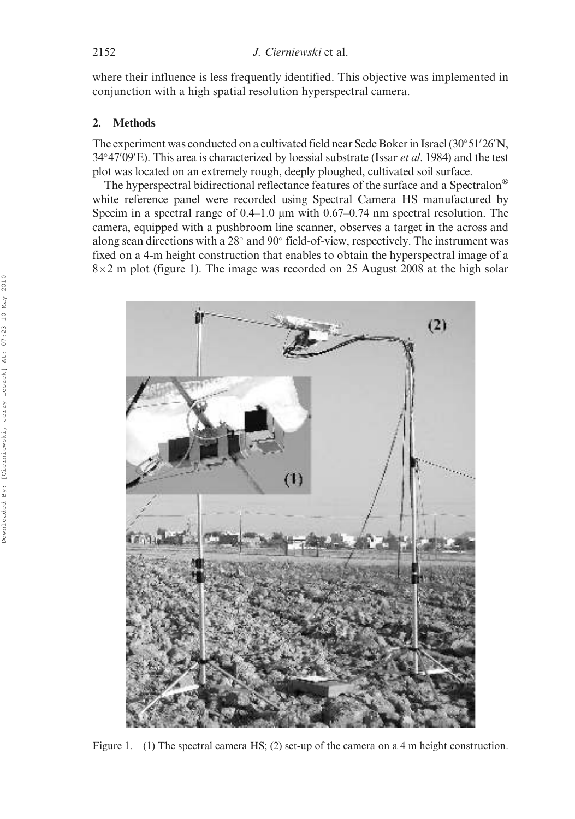where their influence is less frequently identified. This objective was implemented in conjunction with a high spatial resolution hyperspectral camera.

## 2. Methods

The experiment was conducted on a cultivated field near Sede Boker in Israel (30°51'26'N,  $34^{\circ}47'$ 09'E). This area is characterized by loessial substrate (Issar *et al.* 1984) and the test plot was located on an extremely rough, deeply ploughed, cultivated soil surface.

The hyperspectral bidirectional reflectance features of the surface and a Spectralon<sup>®</sup> white reference panel were recorded using Spectral Camera HS manufactured by Specim in a spectral range of  $0.4-1.0 \mu m$  with  $0.67-0.74 \mu m$  spectral resolution. The camera, equipped with a pushbroom line scanner, observes a target in the across and along scan directions with a 28° and 90° field-of-view, respectively. The instrument was fixed on a 4-m height construction that enables to obtain the hyperspectral image of a  $8\times2$  m plot (figure 1). The image was recorded on 25 August 2008 at the high solar



Figure 1. (1) The spectral camera HS; (2) set-up of the camera on a 4 m height construction.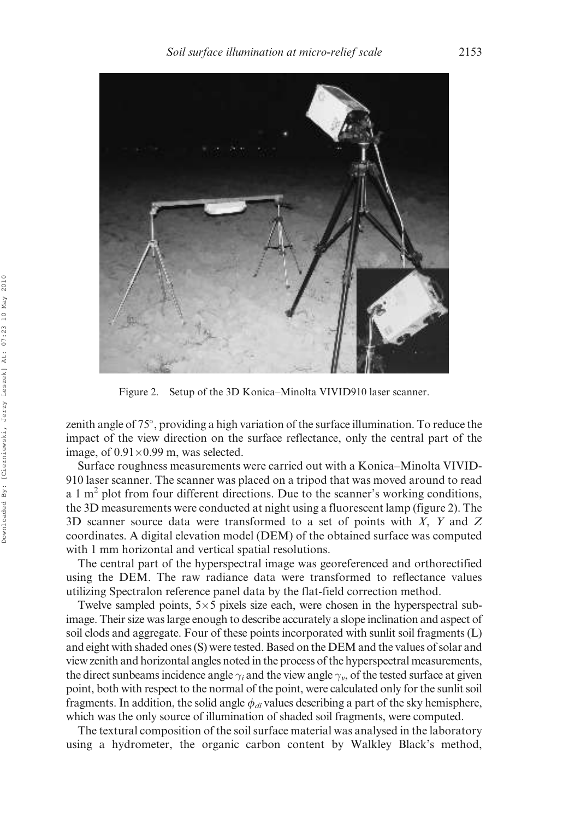

Figure 2. Setup of the 3D Konica–Minolta VIVID910 laser scanner.

zenith angle of 75°, providing a high variation of the surface illumination. To reduce the impact of the view direction on the surface reflectance, only the central part of the image, of  $0.91 \times 0.99$  m, was selected.

Surface roughness measurements were carried out with a Konica–Minolta VIVID-910 laser scanner. The scanner was placed on a tripod that was moved around to read a 1  $m<sup>2</sup>$  plot from four different directions. Due to the scanner's working conditions, the 3D measurements were conducted at night using a fluorescent lamp (figure 2). The 3D scanner source data were transformed to a set of points with  $X$ ,  $Y$  and  $Z$ coordinates. A digital elevation model (DEM) of the obtained surface was computed with 1 mm horizontal and vertical spatial resolutions.

The central part of the hyperspectral image was georeferenced and orthorectified using the DEM. The raw radiance data were transformed to reflectance values utilizing Spectralon reference panel data by the flat-field correction method.

Twelve sampled points,  $5\times 5$  pixels size each, were chosen in the hyperspectral subimage. Their size was large enough to describe accurately a slope inclination and aspect of soil clods and aggregate. Four of these points incorporated with sunlit soil fragments (L) and eight with shaded ones (S) were tested. Based on the DEM and the values of solar and view zenith and horizontal angles noted in the process of the hyperspectral measurements, the direct sunbeams incidence angle  $\gamma_i$  and the view angle  $\gamma_v$ , of the tested surface at given point, both with respect to the normal of the point, were calculated only for the sunlit soil fragments. In addition, the solid angle  $\phi_{di}$  values describing a part of the sky hemisphere, which was the only source of illumination of shaded soil fragments, were computed.

The textural composition of the soil surface material was analysed in the laboratory using a hydrometer, the organic carbon content by Walkley Black's method,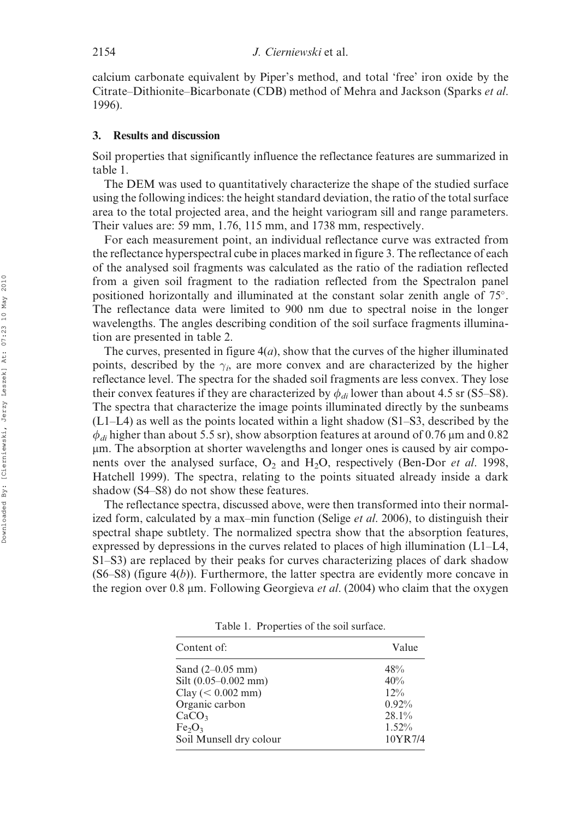calcium carbonate equivalent by Piper's method, and total 'free' iron oxide by the Citrate–Dithionite–Bicarbonate (CDB) method of Mehra and Jackson (Sparks et al. 1996).

#### 3. Results and discussion

Soil properties that significantly influence the reflectance features are summarized in table 1.

The DEM was used to quantitatively characterize the shape of the studied surface using the following indices: the height standard deviation, the ratio of the total surface area to the total projected area, and the height variogram sill and range parameters. Their values are: 59 mm, 1.76, 115 mm, and 1738 mm, respectively.

For each measurement point, an individual reflectance curve was extracted from the reflectance hyperspectral cube in places marked in figure 3. The reflectance of each of the analysed soil fragments was calculated as the ratio of the radiation reflected from a given soil fragment to the radiation reflected from the Spectralon panel positioned horizontally and illuminated at the constant solar zenith angle of 75°. The reflectance data were limited to 900 nm due to spectral noise in the longer wavelengths. The angles describing condition of the soil surface fragments illumination are presented in table 2.

The curves, presented in figure  $4(a)$ , show that the curves of the higher illuminated points, described by the  $\gamma_i$ , are more convex and are characterized by the higher reflectance level. The spectra for the shaded soil fragments are less convex. They lose their convex features if they are characterized by  $\phi_{di}$  lower than about 4.5 sr (S5–S8). The spectra that characterize the image points illuminated directly by the sunbeams (L1–L4) as well as the points located within a light shadow (S1–S3, described by the  $\phi_{di}$  higher than about 5.5 sr), show absorption features at around of 0.76 µm and 0.82 mm. The absorption at shorter wavelengths and longer ones is caused by air components over the analysed surface,  $O_2$  and  $H_2O$ , respectively (Ben-Dor *et al.* 1998, Hatchell 1999). The spectra, relating to the points situated already inside a dark shadow (S4–S8) do not show these features.

The reflectance spectra, discussed above, were then transformed into their normalized form, calculated by a max–min function (Selige et al. 2006), to distinguish their spectral shape subtlety. The normalized spectra show that the absorption features, expressed by depressions in the curves related to places of high illumination  $(L1-L4,$ S1–S3) are replaced by their peaks for curves characterizing places of dark shadow  $(S6–S8)$  (figure  $4(b)$ ). Furthermore, the latter spectra are evidently more concave in the region over 0.8  $\mu$ m. Following Georgieva *et al.* (2004) who claim that the oxygen

Table 1. Properties of the soil surface.

| Content of:                      | Value   |
|----------------------------------|---------|
| Sand $(2-0.05$ mm)               | 48%     |
| Silt $(0.05-0.002$ mm)           | 40%     |
| $Clay \, (< 0.002 \, \text{mm})$ | $12\%$  |
| Organic carbon                   | 0.92%   |
| CaCO <sub>3</sub>                | 28.1%   |
| Fe <sub>2</sub> O <sub>3</sub>   | 1.52%   |
| Soil Munsell dry colour          | 10YR7/4 |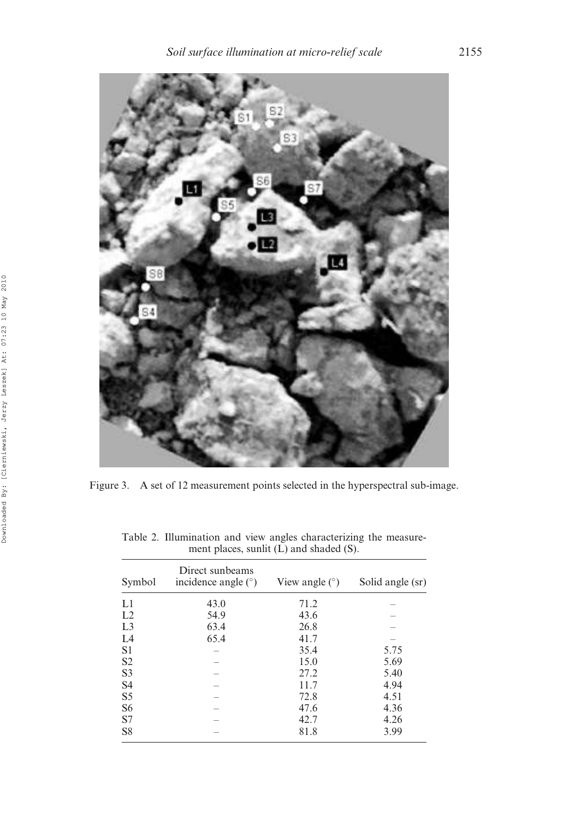

Figure 3. A set of 12 measurement points selected in the hyperspectral sub-image.

| Symbol         | Direct sunbeams<br>incidence angle $(°)$ | View angle $(°)$ | Solid angle (sr) |
|----------------|------------------------------------------|------------------|------------------|
| L1             | 43.0                                     | 71.2             |                  |
| L2             | 54.9                                     | 43.6             |                  |
| L <sub>3</sub> | 63.4                                     | 26.8             |                  |
| L4             | 65.4                                     | 41.7             |                  |
| S <sub>1</sub> |                                          | 35.4             | 5.75             |
| S <sub>2</sub> |                                          | 15.0             | 5.69             |
| S <sub>3</sub> |                                          | 27.2             | 5.40             |
| S <sub>4</sub> |                                          | 11.7             | 4.94             |
| S <sub>5</sub> |                                          | 72.8             | 4.51             |
| S <sub>6</sub> |                                          | 47.6             | 4.36             |
| S7             |                                          | 42.7             | 4.26             |
| S <sub>8</sub> |                                          | 81.8             | 3.99             |

Table 2. Illumination and view angles characterizing the measurement places, sunlit (L) and shaded (S).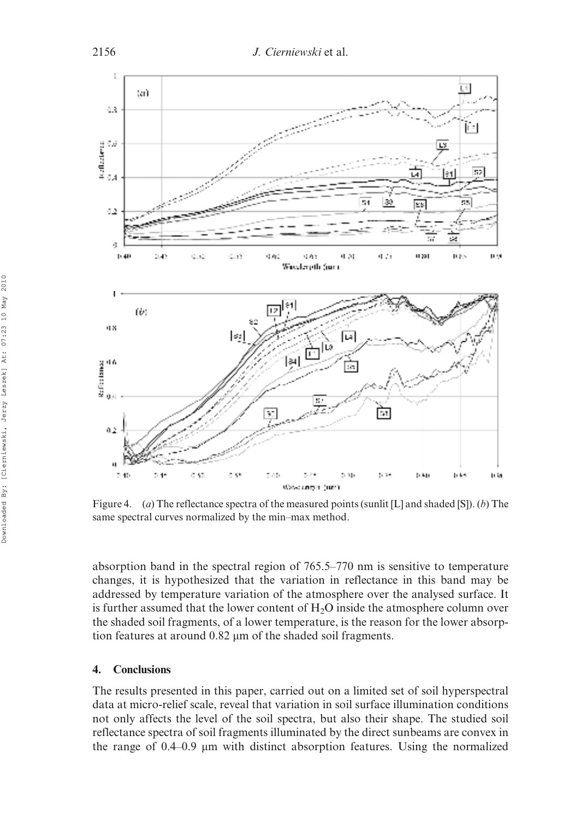

Figure 4. (a) The reflectance spectra of the measured points (sunlit [L] and shaded [S]). (b) The same spectral curves normalized by the min–max method.

absorption band in the spectral region of 765.5–770 nm is sensitive to temperature changes, it is hypothesized that the variation in reflectance in this band may be addressed by temperature variation of the atmosphere over the analysed surface. It is further assumed that the lower content of  $H_2O$  inside the atmosphere column over the shaded soil fragments, of a lower temperature, is the reason for the lower absorption features at around  $0.82 \mu m$  of the shaded soil fragments.

### 4. Conclusions

The results presented in this paper, carried out on a limited set of soil hyperspectral data at micro-relief scale, reveal that variation in soil surface illumination conditions not only affects the level of the soil spectra, but also their shape. The studied soil reflectance spectra of soil fragments illuminated by the direct sunbeams are convex in the range of  $0.4-0.9$  µm with distinct absorption features. Using the normalized